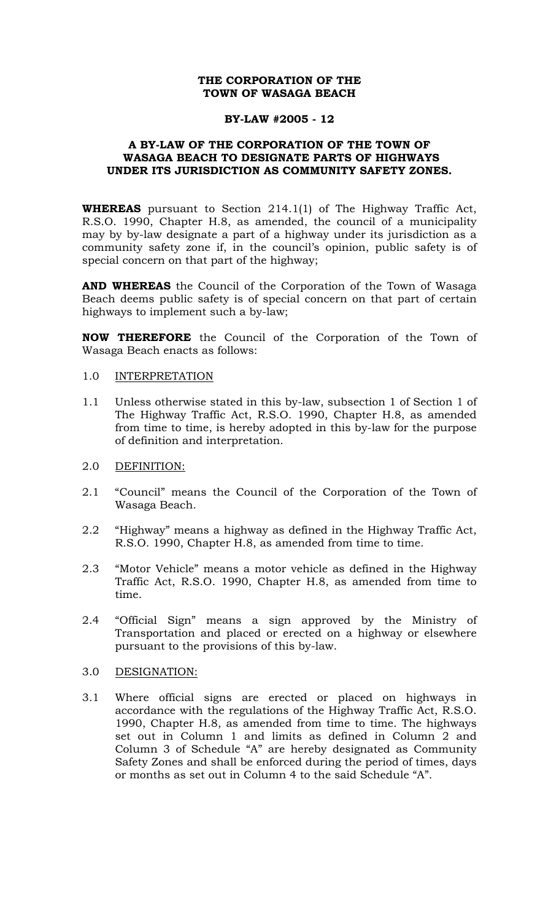# **THE CORPORATION OF THE TOWN OF WASAGA BEACH**

### **BY-LAW #2005 - 12**

## **A BY-LAW OF THE CORPORATION OF THE TOWN OF WASAGA BEACH TO DESIGNATE PARTS OF HIGHWAYS UNDER ITS JURISDICTION AS COMMUNITY SAFETY ZONES.**

**WHEREAS** pursuant to Section 214.1(1) of The Highway Traffic Act, R.S.O. 1990, Chapter H.8, as amended, the council of a municipality may by by-law designate a part of a highway under its jurisdiction as a community safety zone if, in the council's opinion, public safety is of special concern on that part of the highway;

**AND WHEREAS** the Council of the Corporation of the Town of Wasaga Beach deems public safety is of special concern on that part of certain highways to implement such a by-law;

**NOW THEREFORE** the Council of the Corporation of the Town of Wasaga Beach enacts as follows:

#### 1.0 INTERPRETATION

- 1.1 Unless otherwise stated in this by-law, subsection 1 of Section 1 of The Highway Traffic Act, R.S.O. 1990, Chapter H.8, as amended from time to time, is hereby adopted in this by-law for the purpose of definition and interpretation.
- 2.0 DEFINITION:
- 2.1 "Council" means the Council of the Corporation of the Town of Wasaga Beach.
- 2.2 "Highway" means a highway as defined in the Highway Traffic Act, R.S.O. 1990, Chapter H.8, as amended from time to time.
- 2.3 "Motor Vehicle" means a motor vehicle as defined in the Highway Traffic Act, R.S.O. 1990, Chapter H.8, as amended from time to time.
- 2.4 "Official Sign" means a sign approved by the Ministry of Transportation and placed or erected on a highway or elsewhere pursuant to the provisions of this by-law.

### 3.0 DESIGNATION:

3.1 Where official signs are erected or placed on highways in accordance with the regulations of the Highway Traffic Act, R.S.O. 1990, Chapter H.8, as amended from time to time. The highways set out in Column 1 and limits as defined in Column 2 and Column 3 of Schedule "A" are hereby designated as Community Safety Zones and shall be enforced during the period of times, days or months as set out in Column 4 to the said Schedule "A".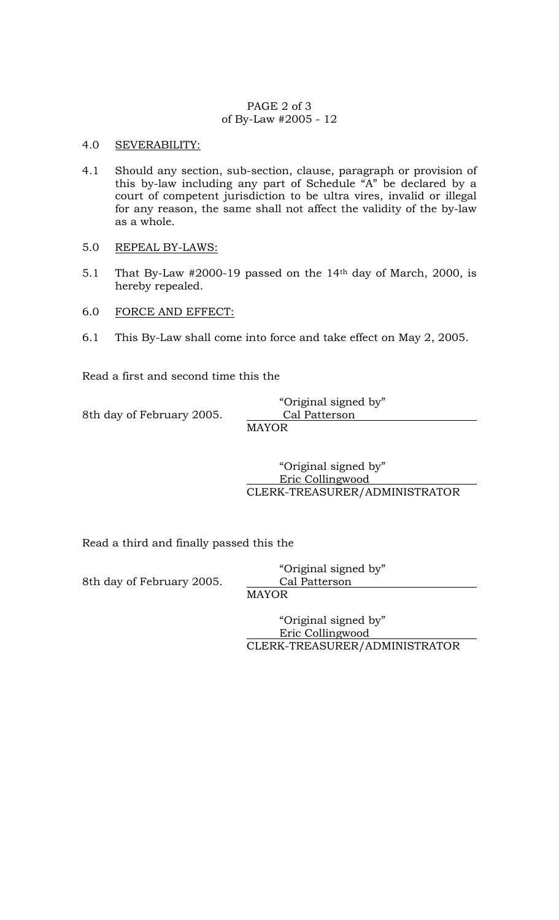## PAGE 2 of 3 of By-Law #2005 - 12

# 4.0 SEVERABILITY:

- 4.1 Should any section, sub-section, clause, paragraph or provision of this by-law including any part of Schedule "A" be declared by a court of competent jurisdiction to be ultra vires, invalid or illegal for any reason, the same shall not affect the validity of the by-law as a whole.
- 5.0 REPEAL BY-LAWS:
- 5.1 That By-Law #2000-19 passed on the 14<sup>th</sup> day of March, 2000, is hereby repealed.
- 6.0 FORCE AND EFFECT:
- 6.1 This By-Law shall come into force and take effect on May 2, 2005.

Read a first and second time this the

8th day of February 2005. Cal Patterson

 "Original signed by" MAYOR

 "Original signed by" Eric Collingwood CLERK-TREASURER/ADMINISTRATOR

Read a third and finally passed this the

8th day of February 2005. Cal Patterson

 "Original signed by" MAYOR

 "Original signed by" Eric Collingwood CLERK-TREASURER/ADMINISTRATOR